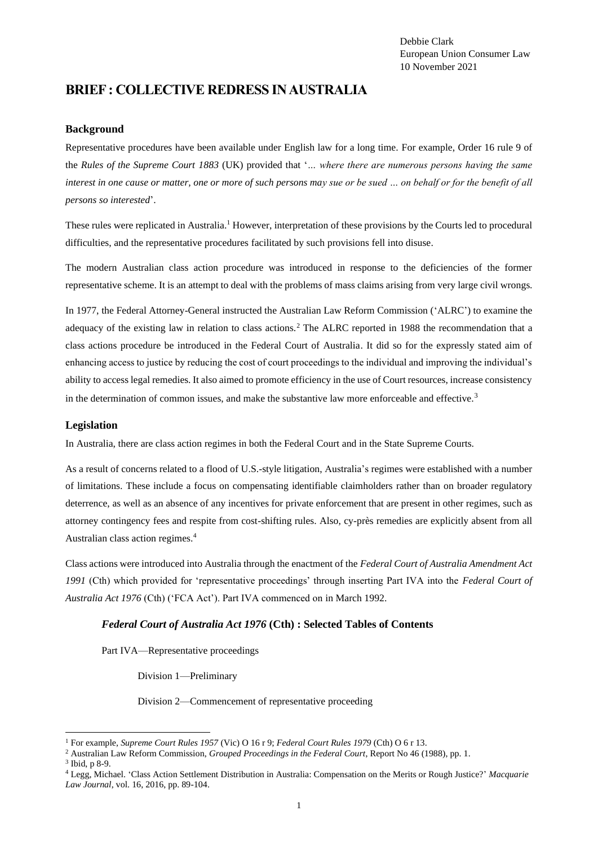Debbie Clark European Union Consumer Law 10 November 2021

# **BRIEF : COLLECTIVE REDRESS IN AUSTRALIA**

#### **Background**

Representative procedures have been available under English law for a long time. For example, Order 16 rule 9 of the *Rules of the Supreme Court 1883* (UK) provided that '*… where there are numerous persons having the same interest in one cause or matter, one or more of such persons may sue or be sued … on behalf or for the benefit of all persons so interested*'.

These rules were replicated in Australia.<sup>1</sup> However, interpretation of these provisions by the Courts led to procedural difficulties, and the representative procedures facilitated by such provisions fell into disuse.

The modern Australian class action procedure was introduced in response to the deficiencies of the former representative scheme. It is an attempt to deal with the problems of mass claims arising from very large civil wrongs.

In 1977, the Federal Attorney-General instructed the Australian Law Reform Commission ('ALRC') to examine the adequacy of the existing law in relation to class actions.<sup>2</sup> The ALRC reported in 1988 the recommendation that a class actions procedure be introduced in the Federal Court of Australia. It did so for the expressly stated aim of enhancing access to justice by reducing the cost of court proceedings to the individual and improving the individual's ability to access legal remedies. It also aimed to promote efficiency in the use of Court resources, increase consistency in the determination of common issues, and make the substantive law more enforceable and effective.<sup>3</sup>

#### **Legislation**

In Australia, there are class action regimes in both the Federal Court and in the State Supreme Courts.

As a result of concerns related to a flood of U.S.-style litigation, Australia's regimes were established with a number of limitations. These include a focus on compensating identifiable claimholders rather than on broader regulatory deterrence, as well as an absence of any incentives for private enforcement that are present in other regimes, such as attorney contingency fees and respite from cost-shifting rules. Also, cy-près remedies are explicitly absent from all Australian class action regimes.<sup>4</sup>

Class actions were introduced into Australia through the enactment of the *Federal Court of Australia Amendment Act 1991* (Cth) which provided for 'representative proceedings' through inserting Part IVA into the *Federal Court of Australia Act 1976* (Cth) ('FCA Act'). Part IVA commenced on in March 1992.

#### *Federal Court of Australia Act 1976* **(Cth) : Selected Tables of Contents**

Part IVA—Representative proceedings

Division 1—Preliminary

Division 2—Commencement of representative proceeding

<sup>1</sup> For example, *Supreme Court Rules 1957* (Vic) O 16 r 9; *Federal Court Rules 1979* (Cth) O 6 r 13.

<sup>2</sup> Australian Law Reform Commission, *Grouped Proceedings in the Federal Court*, Report No 46 (1988), pp. 1.

<sup>3</sup> Ibid, p 8-9.

<sup>4</sup> Legg, Michael. 'Class Action Settlement Distribution in Australia: Compensation on the Merits or Rough Justice?' *Macquarie Law Journal*, vol. 16, 2016, pp. 89-104.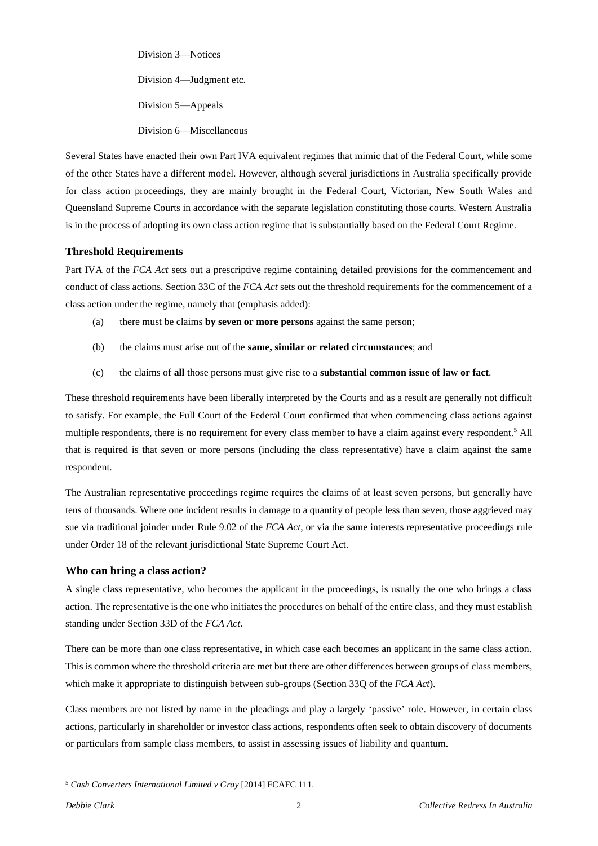Division 3—Notices Division 4—Judgment etc. Division 5—Appeals Division 6—Miscellaneous

Several States have enacted their own Part IVA equivalent regimes that mimic that of the Federal Court, while some of the other States have a different model. However, although several jurisdictions in Australia specifically provide for class action proceedings, they are mainly brought in the Federal Court, Victorian, New South Wales and Queensland Supreme Courts in accordance with the separate legislation constituting those courts. Western Australia is in the process of adopting its own class action regime that is substantially based on the Federal Court Regime.

### **Threshold Requirements**

Part IVA of the *FCA Act* sets out a prescriptive regime containing detailed provisions for the commencement and conduct of class actions. Section 33C of the *FCA Act* sets out the threshold requirements for the commencement of a class action under the regime, namely that (emphasis added):

- (a) there must be claims **by seven or more persons** against the same person;
- (b) the claims must arise out of the **same, similar or related circumstances**; and
- (c) the claims of **all** those persons must give rise to a **substantial common issue of law or fact**.

These threshold requirements have been liberally interpreted by the Courts and as a result are generally not difficult to satisfy. For example, the Full Court of the Federal Court confirmed that when commencing class actions against multiple respondents, there is no requirement for every class member to have a claim against every respondent.<sup>5</sup> All that is required is that seven or more persons (including the class representative) have a claim against the same respondent.

The Australian representative proceedings regime requires the claims of at least seven persons, but generally have tens of thousands. Where one incident results in damage to a quantity of people less than seven, those aggrieved may sue via traditional joinder under Rule 9.02 of the *FCA Act*, or via the same interests representative proceedings rule under Order 18 of the relevant jurisdictional State Supreme Court Act.

### **Who can bring a class action?**

A single class representative, who becomes the applicant in the proceedings, is usually the one who brings a class action. The representative is the one who initiates the procedures on behalf of the entire class, and they must establish standing under Section 33D of the *FCA Act*.

There can be more than one class representative, in which case each becomes an applicant in the same class action. This is common where the threshold criteria are met but there are other differences between groups of class members, which make it appropriate to distinguish between sub-groups (Section 33Q of the *FCA Act*).

Class members are not listed by name in the pleadings and play a largely 'passive' role. However, in certain class actions, particularly in shareholder or investor class actions, respondents often seek to obtain discovery of documents or particulars from sample class members, to assist in assessing issues of liability and quantum.

<sup>5</sup> *Cash Converters International Limited v Gray* [2014] FCAFC 111.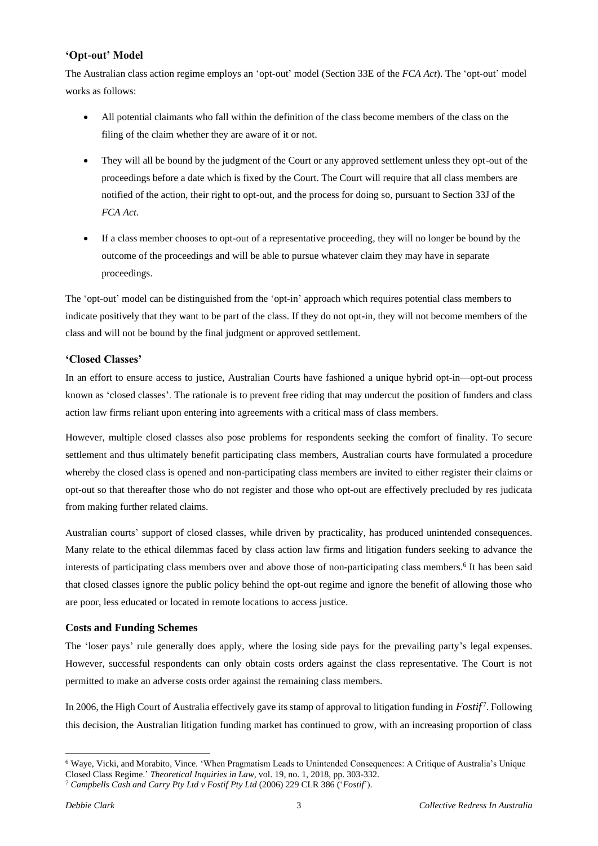### **'Opt-out' Model**

The Australian class action regime employs an 'opt-out' model (Section 33E of the *FCA Act*). The 'opt-out' model works as follows:

- All potential claimants who fall within the definition of the class become members of the class on the filing of the claim whether they are aware of it or not.
- They will all be bound by the judgment of the Court or any approved settlement unless they opt-out of the proceedings before a date which is fixed by the Court. The Court will require that all class members are notified of the action, their right to opt-out, and the process for doing so, pursuant to Section 33J of the *FCA Act*.
- If a class member chooses to opt-out of a representative proceeding, they will no longer be bound by the outcome of the proceedings and will be able to pursue whatever claim they may have in separate proceedings.

The 'opt-out' model can be distinguished from the 'opt-in' approach which requires potential class members to indicate positively that they want to be part of the class. If they do not opt-in, they will not become members of the class and will not be bound by the final judgment or approved settlement.

# **'Closed Classes'**

In an effort to ensure access to justice, Australian Courts have fashioned a unique hybrid opt-in—opt-out process known as 'closed classes'. The rationale is to prevent free riding that may undercut the position of funders and class action law firms reliant upon entering into agreements with a critical mass of class members.

However, multiple closed classes also pose problems for respondents seeking the comfort of finality. To secure settlement and thus ultimately benefit participating class members, Australian courts have formulated a procedure whereby the closed class is opened and non-participating class members are invited to either register their claims or opt-out so that thereafter those who do not register and those who opt-out are effectively precluded by res judicata from making further related claims.

Australian courts' support of closed classes, while driven by practicality, has produced unintended consequences. Many relate to the ethical dilemmas faced by class action law firms and litigation funders seeking to advance the interests of participating class members over and above those of non-participating class members.<sup>6</sup> It has been said that closed classes ignore the public policy behind the opt-out regime and ignore the benefit of allowing those who are poor, less educated or located in remote locations to access justice.

# **Costs and Funding Schemes**

The 'loser pays' rule generally does apply, where the losing side pays for the prevailing party's legal expenses. However, successful respondents can only obtain costs orders against the class representative. The Court is not permitted to make an adverse costs order against the remaining class members.

In 2006, the High Court of Australia effectively gave its stamp of approval to litigation funding in *Fostif* 7 . Following this decision, the Australian litigation funding market has continued to grow, with an increasing proportion of class

<sup>6</sup> Waye, Vicki, and Morabito, Vince. 'When Pragmatism Leads to Unintended Consequences: A Critique of Australia's Unique Closed Class Regime.' *Theoretical Inquiries in Law*, vol. 19, no. 1, 2018, pp. 303-332.

<sup>7</sup> *Campbells Cash and Carry Pty Ltd v Fostif Pty Ltd* (2006) 229 CLR 386 ('*Fostif*').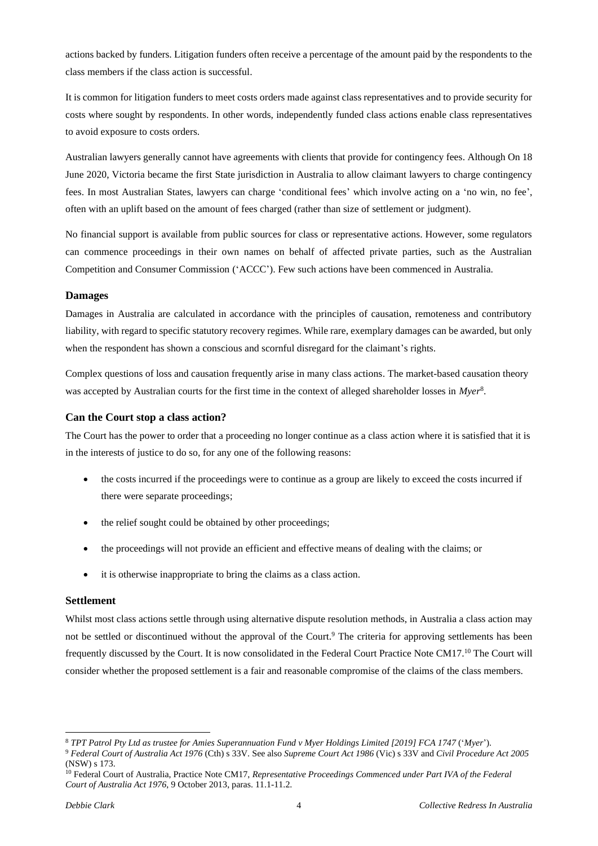actions backed by funders. Litigation funders often receive a percentage of the amount paid by the respondents to the class members if the class action is successful.

It is common for litigation funders to meet costs orders made against class representatives and to provide security for costs where sought by respondents. In other words, independently funded class actions enable class representatives to avoid exposure to costs orders.

Australian lawyers generally cannot have agreements with clients that provide for contingency fees. Although On 18 June 2020, Victoria became the first State jurisdiction in Australia to allow claimant lawyers to charge contingency fees. In most Australian States, lawyers can charge 'conditional fees' which involve acting on a 'no win, no fee', often with an uplift based on the amount of fees charged (rather than size of settlement or judgment).

No financial support is available from public sources for class or representative actions. However, some regulators can commence proceedings in their own names on behalf of affected private parties, such as the Australian Competition and Consumer Commission ('ACCC'). Few such actions have been commenced in Australia.

### **Damages**

Damages in Australia are calculated in accordance with the principles of causation, remoteness and contributory liability, with regard to specific statutory recovery regimes. While rare, exemplary damages can be awarded, but only when the respondent has shown a conscious and scornful disregard for the claimant's rights.

Complex questions of loss and causation frequently arise in many class actions. The market-based causation theory was accepted by Australian courts for the first time in the context of alleged shareholder losses in *Myer*<sup>8</sup> .

### **Can the Court stop a class action?**

The Court has the power to order that a proceeding no longer continue as a class action where it is satisfied that it is in the interests of justice to do so, for any one of the following reasons:

- the costs incurred if the proceedings were to continue as a group are likely to exceed the costs incurred if there were separate proceedings;
- the relief sought could be obtained by other proceedings;
- the proceedings will not provide an efficient and effective means of dealing with the claims; or
- it is otherwise inappropriate to bring the claims as a class action.

#### **Settlement**

Whilst most class actions settle through using alternative dispute resolution methods, in Australia a class action may not be settled or discontinued without the approval of the Court.<sup>9</sup> The criteria for approving settlements has been frequently discussed by the Court. It is now consolidated in the Federal Court Practice Note CM17.<sup>10</sup> The Court will consider whether the proposed settlement is a fair and reasonable compromise of the claims of the class members.

<sup>&</sup>lt;sup>8</sup> TPT Patrol Pty Ltd as trustee for Amies Superannuation Fund v Myer Holdings Limited [2019] FCA 1747 ('Myer'). <sup>9</sup> *Federal Court of Australia Act 1976* (Cth) s 33V. See also *Supreme Court Act 1986* (Vic) s 33V and *Civil Procedure Act 2005*  (NSW) s 173.

<sup>10</sup> Federal Court of Australia, Practice Note CM17, *Representative Proceedings Commenced under Part IVA of the Federal Court of Australia Act 1976*, 9 October 2013, paras. 11.1-11.2.